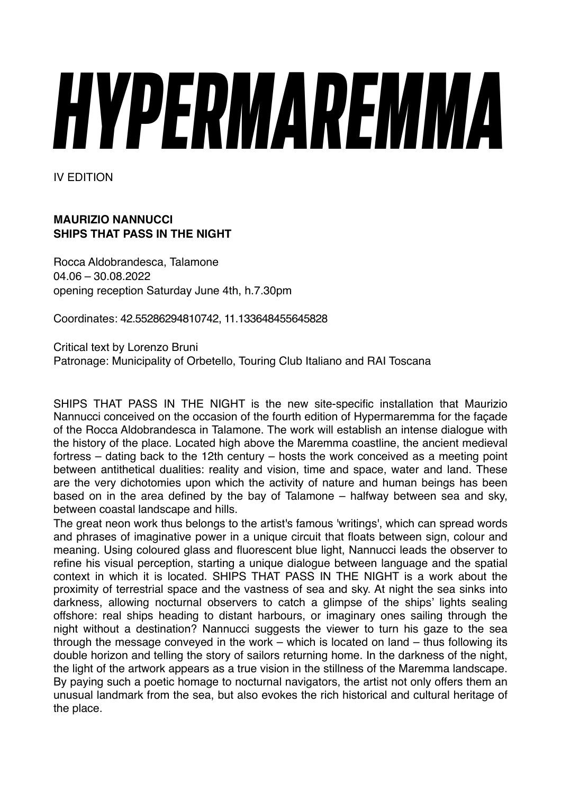## *HYPERMAREMMA*

IV EDITION

## **MAURIZIO NANNUCCI SHIPS THAT PASS IN THE NIGHT**

Rocca Aldobrandesca, Talamone 04.06 – 30.08.2022 opening reception Saturday June 4th, h.7.30pm

Coordinates: 42.55286294810742, 11.133648455645828

Critical text by Lorenzo Bruni Patronage: Municipality of Orbetello, Touring Club Italiano and RAI Toscana

SHIPS THAT PASS IN THE NIGHT is the new site-specific installation that Maurizio Nannucci conceived on the occasion of the fourth edition of Hypermaremma for the façade of the Rocca Aldobrandesca in Talamone. The work will establish an intense dialogue with the history of the place. Located high above the Maremma coastline, the ancient medieval fortress – dating back to the 12th century – hosts the work conceived as a meeting point between antithetical dualities: reality and vision, time and space, water and land. These are the very dichotomies upon which the activity of nature and human beings has been based on in the area defined by the bay of Talamone – halfway between sea and sky, between coastal landscape and hills.

The great neon work thus belongs to the artist's famous 'writings', which can spread words and phrases of imaginative power in a unique circuit that floats between sign, colour and meaning. Using coloured glass and fluorescent blue light, Nannucci leads the observer to refine his visual perception, starting a unique dialogue between language and the spatial context in which it is located. SHIPS THAT PASS IN THE NIGHT is a work about the proximity of terrestrial space and the vastness of sea and sky. At night the sea sinks into darkness, allowing nocturnal observers to catch a glimpse of the ships' lights sealing offshore: real ships heading to distant harbours, or imaginary ones sailing through the night without a destination? Nannucci suggests the viewer to turn his gaze to the sea through the message conveyed in the work – which is located on land – thus following its double horizon and telling the story of sailors returning home. In the darkness of the night, the light of the artwork appears as a true vision in the stillness of the Maremma landscape. By paying such a poetic homage to nocturnal navigators, the artist not only offers them an unusual landmark from the sea, but also evokes the rich historical and cultural heritage of the place.